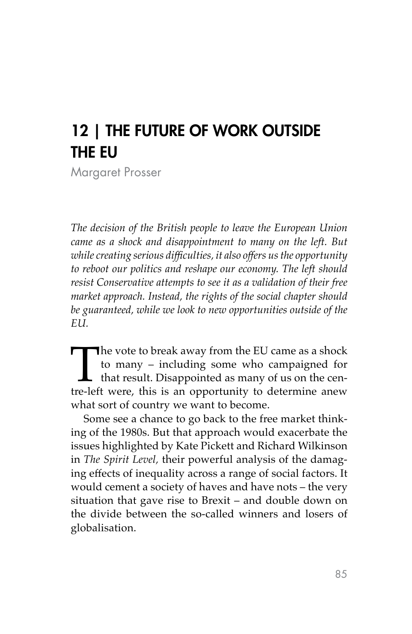## 12 | THE FUTURE OF WORK OUTSIDE THE EU

Margaret Prosser

*The decision of the British people to leave the European Union came as a shock and disappointment to many on the left. But while creating serious difficulties, it also offers us the opportunity to reboot our politics and reshape our economy. The left should resist Conservative attempts to see it as a validation of their free market approach. Instead, the rights of the social chapter should be guaranteed, while we look to new opportunities outside of the EU.*

The vote to break away from the EU came as a shock to many – including some who campaigned for that result. Disappointed as many of us on the centre-left were, this is an opportunity to determine anew to many – including some who campaigned for  $\overline{\mathsf{L}}$  that result. Disappointed as many of us on the cenwhat sort of country we want to become.

Some see a chance to go back to the free market thinking of the 1980s. But that approach would exacerbate the issues highlighted by Kate Pickett and Richard Wilkinson in *The Spirit Level,* their powerful analysis of the damaging effects of inequality across a range of social factors. It would cement a society of haves and have nots – the very situation that gave rise to Brexit – and double down on the divide between the so-called winners and losers of globalisation.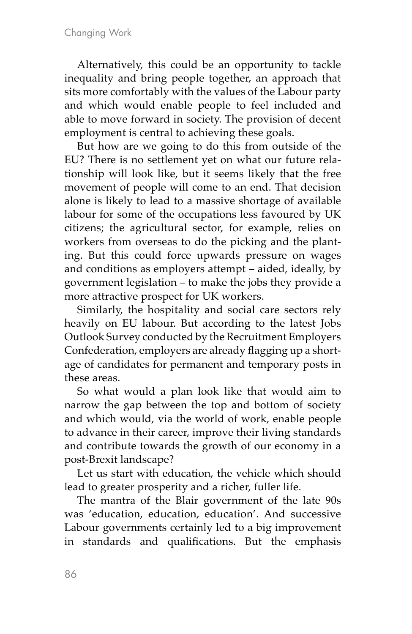Alternatively, this could be an opportunity to tackle inequality and bring people together, an approach that sits more comfortably with the values of the Labour party and which would enable people to feel included and able to move forward in society. The provision of decent employment is central to achieving these goals.

But how are we going to do this from outside of the EU? There is no settlement yet on what our future relationship will look like, but it seems likely that the free movement of people will come to an end. That decision alone is likely to lead to a massive shortage of available labour for some of the occupations less favoured by UK citizens; the agricultural sector, for example, relies on workers from overseas to do the picking and the planting. But this could force upwards pressure on wages and conditions as employers attempt – aided, ideally, by government legislation – to make the jobs they provide a more attractive prospect for UK workers.

Similarly, the hospitality and social care sectors rely heavily on EU labour. But according to the latest Jobs Outlook Survey conducted by the Recruitment Employers Confederation, employers are already flagging up a shortage of candidates for permanent and temporary posts in these areas.

So what would a plan look like that would aim to narrow the gap between the top and bottom of society and which would, via the world of work, enable people to advance in their career, improve their living standards and contribute towards the growth of our economy in a post-Brexit landscape?

Let us start with education, the vehicle which should lead to greater prosperity and a richer, fuller life.

The mantra of the Blair government of the late 90s was 'education, education, education'. And successive Labour governments certainly led to a big improvement in standards and qualifications. But the emphasis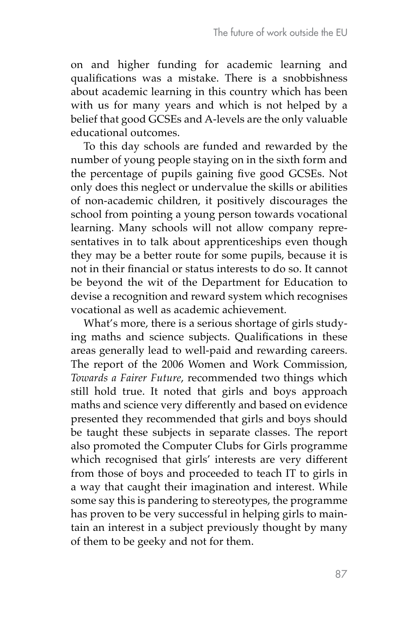on and higher funding for academic learning and qualifications was a mistake. There is a snobbishness about academic learning in this country which has been with us for many years and which is not helped by a belief that good GCSEs and A-levels are the only valuable educational outcomes.

To this day schools are funded and rewarded by the number of young people staying on in the sixth form and the percentage of pupils gaining five good GCSEs. Not only does this neglect or undervalue the skills or abilities of non-academic children, it positively discourages the school from pointing a young person towards vocational learning. Many schools will not allow company representatives in to talk about apprenticeships even though they may be a better route for some pupils, because it is not in their financial or status interests to do so. It cannot be beyond the wit of the Department for Education to devise a recognition and reward system which recognises vocational as well as academic achievement.

What's more, there is a serious shortage of girls studying maths and science subjects. Qualifications in these areas generally lead to well-paid and rewarding careers. The report of the 2006 Women and Work Commission, *Towards a Fairer Future*, recommended two things which still hold true. It noted that girls and boys approach maths and science very differently and based on evidence presented they recommended that girls and boys should be taught these subjects in separate classes. The report also promoted the Computer Clubs for Girls programme which recognised that girls' interests are very different from those of boys and proceeded to teach IT to girls in a way that caught their imagination and interest. While some say this is pandering to stereotypes, the programme has proven to be very successful in helping girls to maintain an interest in a subject previously thought by many of them to be geeky and not for them.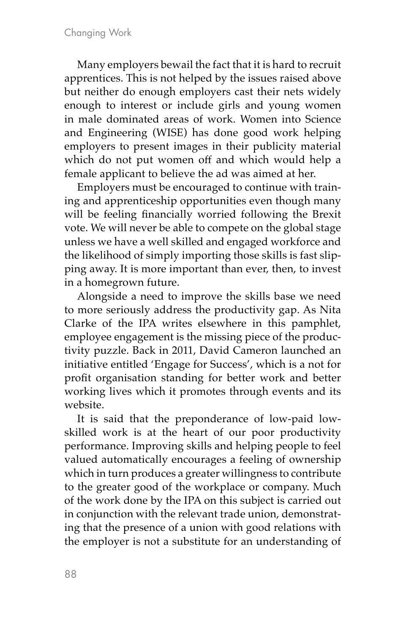Many employers bewail the fact that it is hard to recruit apprentices. This is not helped by the issues raised above but neither do enough employers cast their nets widely enough to interest or include girls and young women in male dominated areas of work. Women into Science and Engineering (WISE) has done good work helping employers to present images in their publicity material which do not put women off and which would help a female applicant to believe the ad was aimed at her.

Employers must be encouraged to continue with training and apprenticeship opportunities even though many will be feeling financially worried following the Brexit vote. We will never be able to compete on the global stage unless we have a well skilled and engaged workforce and the likelihood of simply importing those skills is fast slipping away. It is more important than ever, then, to invest in a homegrown future.

Alongside a need to improve the skills base we need to more seriously address the productivity gap. As Nita Clarke of the IPA writes elsewhere in this pamphlet, employee engagement is the missing piece of the productivity puzzle. Back in 2011, David Cameron launched an initiative entitled 'Engage for Success', which is a not for profit organisation standing for better work and better working lives which it promotes through events and its website.

It is said that the preponderance of low-paid lowskilled work is at the heart of our poor productivity performance. Improving skills and helping people to feel valued automatically encourages a feeling of ownership which in turn produces a greater willingness to contribute to the greater good of the workplace or company. Much of the work done by the IPA on this subject is carried out in conjunction with the relevant trade union, demonstrating that the presence of a union with good relations with the employer is not a substitute for an understanding of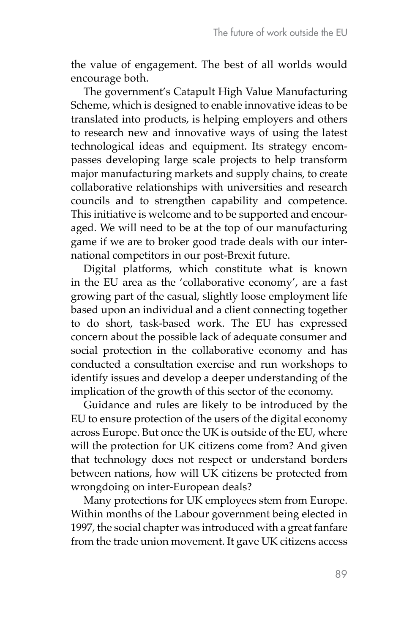the value of engagement. The best of all worlds would encourage both.

The government's Catapult High Value Manufacturing Scheme, which is designed to enable innovative ideas to be translated into products, is helping employers and others to research new and innovative ways of using the latest technological ideas and equipment. Its strategy encompasses developing large scale projects to help transform major manufacturing markets and supply chains, to create collaborative relationships with universities and research councils and to strengthen capability and competence. This initiative is welcome and to be supported and encouraged. We will need to be at the top of our manufacturing game if we are to broker good trade deals with our international competitors in our post-Brexit future.

Digital platforms, which constitute what is known in the EU area as the 'collaborative economy', are a fast growing part of the casual, slightly loose employment life based upon an individual and a client connecting together to do short, task-based work. The EU has expressed concern about the possible lack of adequate consumer and social protection in the collaborative economy and has conducted a consultation exercise and run workshops to identify issues and develop a deeper understanding of the implication of the growth of this sector of the economy.

Guidance and rules are likely to be introduced by the EU to ensure protection of the users of the digital economy across Europe. But once the UK is outside of the EU, where will the protection for UK citizens come from? And given that technology does not respect or understand borders between nations, how will UK citizens be protected from wrongdoing on inter-European deals?

Many protections for UK employees stem from Europe. Within months of the Labour government being elected in 1997, the social chapter was introduced with a great fanfare from the trade union movement. It gave UK citizens access